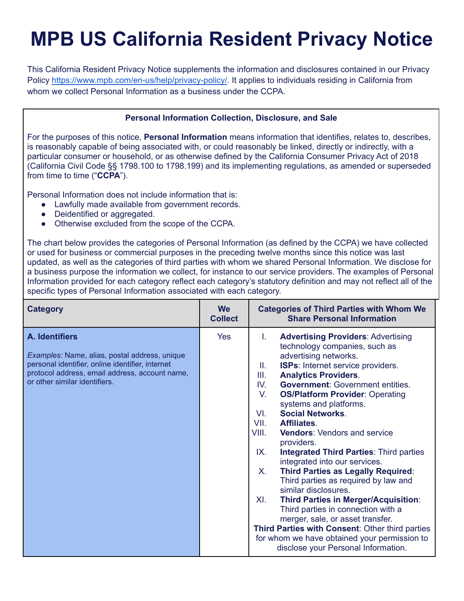# **MPB US California Resident Privacy Notice**

This California Resident Privacy Notice supplements the information and disclosures contained in our Privacy Policy [https://www.mpb.com/en-us/help/privacy-policy/.](https://www.mpb.com/en-us/help/privacy-policy/) It applies to individuals residing in California from whom we collect Personal Information as a business under the CCPA.

#### **Personal Information Collection, Disclosure, and Sale**

For the purposes of this notice, **Personal Information** means information that identifies, relates to, describes, is reasonably capable of being associated with, or could reasonably be linked, directly or indirectly, with a particular consumer or household, or as otherwise defined by the California Consumer Privacy Act of 2018 (California Civil Code §§ 1798.100 to 1798.199) and its implementing regulations, as amended or superseded from time to time ("**CCPA**").

Personal Information does not include information that is:

- Lawfully made available from government records.
- Deidentified or aggregated.
- Otherwise excluded from the scope of the CCPA.

The chart below provides the categories of Personal Information (as defined by the CCPA) we have collected or used for business or commercial purposes in the preceding twelve months since this notice was last updated, as well as the categories of third parties with whom we shared Personal Information. We disclose for a business purpose the information we collect, for instance to our service providers. The examples of Personal Information provided for each category reflect each category's statutory definition and may not reflect all of the specific types of Personal Information associated with each category.

| <b>Category</b>                                                                                                                                                                                        | <b>We</b><br><b>Collect</b> | <b>Categories of Third Parties with Whom We</b><br><b>Share Personal Information</b>                                                                                                                                                                                                                                                                                                                                                                                                                                                                                                                                                                                                                                                                                                                                                                                                                                                         |
|--------------------------------------------------------------------------------------------------------------------------------------------------------------------------------------------------------|-----------------------------|----------------------------------------------------------------------------------------------------------------------------------------------------------------------------------------------------------------------------------------------------------------------------------------------------------------------------------------------------------------------------------------------------------------------------------------------------------------------------------------------------------------------------------------------------------------------------------------------------------------------------------------------------------------------------------------------------------------------------------------------------------------------------------------------------------------------------------------------------------------------------------------------------------------------------------------------|
| A. Identifiers<br>Examples: Name, alias, postal address, unique<br>personal identifier, online identifier, internet<br>protocol address, email address, account name,<br>or other similar identifiers. | Yes                         | <b>Advertising Providers: Advertising</b><br>L.<br>technology companies, such as<br>advertising networks.<br><b>ISPs:</b> Internet service providers.<br>Ш.<br><b>Analytics Providers.</b><br>III.<br><b>Government: Government entities.</b><br>IV.<br><b>OS/Platform Provider: Operating</b><br>V.<br>systems and platforms.<br><b>Social Networks.</b><br>VI.<br>VII.<br>Affiliates.<br>VIII.<br><b>Vendors:</b> Vendors and service<br>providers.<br>IX.<br><b>Integrated Third Parties: Third parties</b><br>integrated into our services.<br><b>Third Parties as Legally Required:</b><br>Х.<br>Third parties as required by law and<br>similar disclosures.<br><b>Third Parties in Merger/Acquisition:</b><br>XI.<br>Third parties in connection with a<br>merger, sale, or asset transfer.<br>Third Parties with Consent: Other third parties<br>for whom we have obtained your permission to<br>disclose your Personal Information. |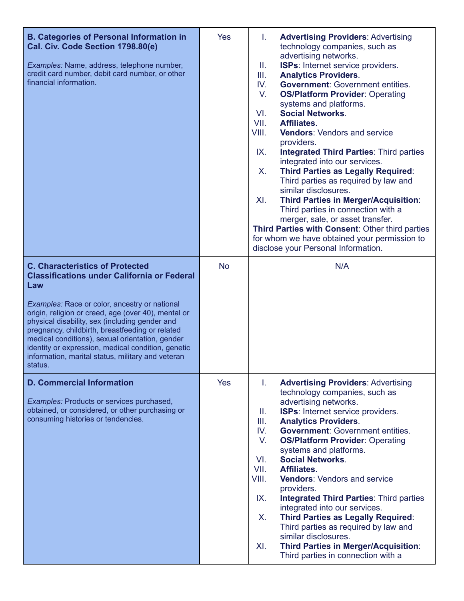| <b>B. Categories of Personal Information in</b><br>Cal. Civ. Code Section 1798.80(e)<br>Examples: Name, address, telephone number,<br>credit card number, debit card number, or other<br>financial information.                                                                                                                                                                                                                                                                           | <b>Yes</b> | T.<br><b>Advertising Providers: Advertising</b><br>technology companies, such as<br>advertising networks.<br><b>ISPs:</b> Internet service providers.<br>Ш.<br>Ш.<br><b>Analytics Providers.</b><br>IV.<br><b>Government: Government entities.</b><br>V.<br><b>OS/Platform Provider: Operating</b><br>systems and platforms.<br><b>Social Networks.</b><br>VI.<br>Affiliates.<br>VII.<br><b>Vendors: Vendors and service</b><br>VIII.<br>providers.<br>IX.<br><b>Integrated Third Parties: Third parties</b><br>integrated into our services.<br><b>Third Parties as Legally Required:</b><br>X.<br>Third parties as required by law and<br>similar disclosures.<br>XI.<br><b>Third Parties in Merger/Acquisition:</b><br>Third parties in connection with a<br>merger, sale, or asset transfer.<br>Third Parties with Consent: Other third parties<br>for whom we have obtained your permission to<br>disclose your Personal Information. |
|-------------------------------------------------------------------------------------------------------------------------------------------------------------------------------------------------------------------------------------------------------------------------------------------------------------------------------------------------------------------------------------------------------------------------------------------------------------------------------------------|------------|--------------------------------------------------------------------------------------------------------------------------------------------------------------------------------------------------------------------------------------------------------------------------------------------------------------------------------------------------------------------------------------------------------------------------------------------------------------------------------------------------------------------------------------------------------------------------------------------------------------------------------------------------------------------------------------------------------------------------------------------------------------------------------------------------------------------------------------------------------------------------------------------------------------------------------------------|
| <b>C. Characteristics of Protected</b><br><b>Classifications under California or Federal</b><br>Law<br>Examples: Race or color, ancestry or national<br>origin, religion or creed, age (over 40), mental or<br>physical disability, sex (including gender and<br>pregnancy, childbirth, breastfeeding or related<br>medical conditions), sexual orientation, gender<br>identity or expression, medical condition, genetic<br>information, marital status, military and veteran<br>status. | <b>No</b>  | N/A                                                                                                                                                                                                                                                                                                                                                                                                                                                                                                                                                                                                                                                                                                                                                                                                                                                                                                                                        |
| <b>D. Commercial Information</b><br>Examples: Products or services purchased,<br>obtained, or considered, or other purchasing or<br>consuming histories or tendencies.                                                                                                                                                                                                                                                                                                                    | <b>Yes</b> | <b>Advertising Providers: Advertising</b><br>T.<br>technology companies, such as<br>advertising networks.<br>ISPs: Internet service providers.<br>Ш.<br>III.<br><b>Analytics Providers.</b><br><b>Government: Government entities.</b><br>IV.<br>V.<br><b>OS/Platform Provider: Operating</b><br>systems and platforms.<br><b>Social Networks.</b><br>VI.<br>Affiliates.<br>VII.<br>VIII.<br><b>Vendors: Vendors and service</b><br>providers.<br>IX.<br><b>Integrated Third Parties: Third parties</b><br>integrated into our services.<br><b>Third Parties as Legally Required:</b><br>X.<br>Third parties as required by law and<br>similar disclosures.<br>XI.<br><b>Third Parties in Merger/Acquisition:</b><br>Third parties in connection with a                                                                                                                                                                                    |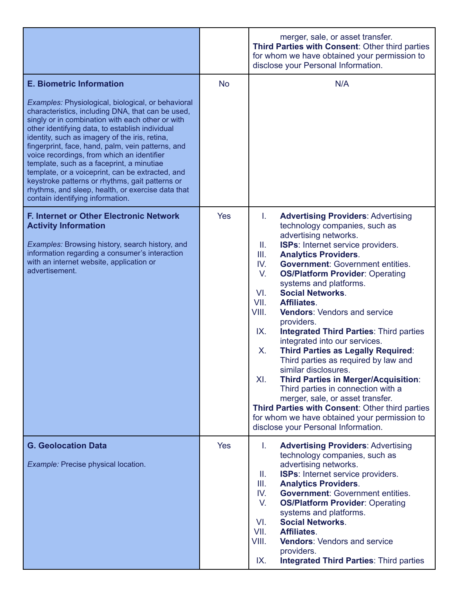|                                                                                                                                                                                                                                                                                                                                                                                                                                                                                                                                                                                                                                                     |            | merger, sale, or asset transfer.<br>Third Parties with Consent: Other third parties<br>for whom we have obtained your permission to<br>disclose your Personal Information.                                                                                                                                                                                                                                                                                                                                                                                                                                                                                                                                                                                                                                                                                                                                                                 |
|-----------------------------------------------------------------------------------------------------------------------------------------------------------------------------------------------------------------------------------------------------------------------------------------------------------------------------------------------------------------------------------------------------------------------------------------------------------------------------------------------------------------------------------------------------------------------------------------------------------------------------------------------------|------------|--------------------------------------------------------------------------------------------------------------------------------------------------------------------------------------------------------------------------------------------------------------------------------------------------------------------------------------------------------------------------------------------------------------------------------------------------------------------------------------------------------------------------------------------------------------------------------------------------------------------------------------------------------------------------------------------------------------------------------------------------------------------------------------------------------------------------------------------------------------------------------------------------------------------------------------------|
| <b>E. Biometric Information</b><br>Examples: Physiological, biological, or behavioral<br>characteristics, including DNA, that can be used,<br>singly or in combination with each other or with<br>other identifying data, to establish individual<br>identity, such as imagery of the iris, retina,<br>fingerprint, face, hand, palm, vein patterns, and<br>voice recordings, from which an identifier<br>template, such as a faceprint, a minutiae<br>template, or a voiceprint, can be extracted, and<br>keystroke patterns or rhythms, gait patterns or<br>rhythms, and sleep, health, or exercise data that<br>contain identifying information. | <b>No</b>  | N/A                                                                                                                                                                                                                                                                                                                                                                                                                                                                                                                                                                                                                                                                                                                                                                                                                                                                                                                                        |
| <b>F. Internet or Other Electronic Network</b><br><b>Activity Information</b><br>Examples: Browsing history, search history, and<br>information regarding a consumer's interaction<br>with an internet website, application or<br>advertisement.                                                                                                                                                                                                                                                                                                                                                                                                    | <b>Yes</b> | <b>Advertising Providers: Advertising</b><br>L.<br>technology companies, such as<br>advertising networks.<br>Ш.<br><b>ISPs:</b> Internet service providers.<br>Ш.<br><b>Analytics Providers.</b><br><b>Government: Government entities.</b><br>IV.<br>V.<br><b>OS/Platform Provider: Operating</b><br>systems and platforms.<br><b>Social Networks.</b><br>VI.<br>VII.<br>Affiliates.<br>VIII.<br><b>Vendors: Vendors and service</b><br>providers.<br>IX.<br><b>Integrated Third Parties: Third parties</b><br>integrated into our services.<br>Х.<br><b>Third Parties as Legally Required:</b><br>Third parties as required by law and<br>similar disclosures.<br>XI.<br><b>Third Parties in Merger/Acquisition:</b><br>Third parties in connection with a<br>merger, sale, or asset transfer.<br>Third Parties with Consent: Other third parties<br>for whom we have obtained your permission to<br>disclose your Personal Information. |
| <b>G. Geolocation Data</b><br>Example: Precise physical location.                                                                                                                                                                                                                                                                                                                                                                                                                                                                                                                                                                                   | <b>Yes</b> | L.<br><b>Advertising Providers: Advertising</b><br>technology companies, such as<br>advertising networks.<br>ISPs: Internet service providers.<br>Ш.<br>Ш.<br><b>Analytics Providers.</b><br>IV.<br><b>Government: Government entities.</b><br>V.<br><b>OS/Platform Provider: Operating</b><br>systems and platforms.<br><b>Social Networks.</b><br>VI.<br>VII.<br>Affiliates.<br>VIII.<br><b>Vendors: Vendors and service</b><br>providers.<br><b>Integrated Third Parties: Third parties</b><br>IX.                                                                                                                                                                                                                                                                                                                                                                                                                                      |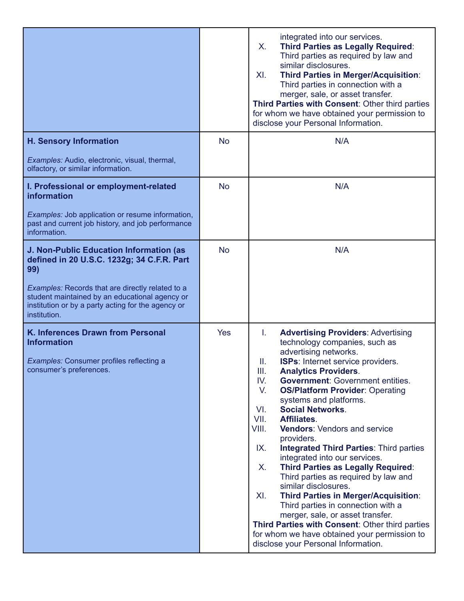|                                                                                                                                                                                                                                                                          |            | integrated into our services.<br>X.<br><b>Third Parties as Legally Required:</b><br>Third parties as required by law and<br>similar disclosures.<br><b>Third Parties in Merger/Acquisition:</b><br>XI.<br>Third parties in connection with a<br>merger, sale, or asset transfer.<br>Third Parties with Consent: Other third parties<br>for whom we have obtained your permission to<br>disclose your Personal Information.                                                                                                                                                                                                                                                                                                                                                                                                                                                                                                                   |
|--------------------------------------------------------------------------------------------------------------------------------------------------------------------------------------------------------------------------------------------------------------------------|------------|----------------------------------------------------------------------------------------------------------------------------------------------------------------------------------------------------------------------------------------------------------------------------------------------------------------------------------------------------------------------------------------------------------------------------------------------------------------------------------------------------------------------------------------------------------------------------------------------------------------------------------------------------------------------------------------------------------------------------------------------------------------------------------------------------------------------------------------------------------------------------------------------------------------------------------------------|
| <b>H. Sensory Information</b><br>Examples: Audio, electronic, visual, thermal,<br>olfactory, or similar information.                                                                                                                                                     | <b>No</b>  | N/A                                                                                                                                                                                                                                                                                                                                                                                                                                                                                                                                                                                                                                                                                                                                                                                                                                                                                                                                          |
| I. Professional or employment-related<br>information<br>Examples: Job application or resume information,<br>past and current job history, and job performance<br>information.                                                                                            | <b>No</b>  | N/A                                                                                                                                                                                                                                                                                                                                                                                                                                                                                                                                                                                                                                                                                                                                                                                                                                                                                                                                          |
| J. Non-Public Education Information (as<br>defined in 20 U.S.C. 1232g; 34 C.F.R. Part<br>99)<br>Examples: Records that are directly related to a<br>student maintained by an educational agency or<br>institution or by a party acting for the agency or<br>institution. | <b>No</b>  | N/A                                                                                                                                                                                                                                                                                                                                                                                                                                                                                                                                                                                                                                                                                                                                                                                                                                                                                                                                          |
| K. Inferences Drawn from Personal<br><b>Information</b><br>Examples: Consumer profiles reflecting a<br>consumer's preferences.                                                                                                                                           | <b>Yes</b> | I.<br><b>Advertising Providers: Advertising</b><br>technology companies, such as<br>advertising networks.<br><b>ISPs:</b> Internet service providers.<br>Ш.<br>III.<br><b>Analytics Providers.</b><br><b>Government: Government entities.</b><br>IV.<br>V.<br><b>OS/Platform Provider: Operating</b><br>systems and platforms.<br><b>Social Networks.</b><br>VI.<br>Affiliates.<br>VII.<br>VIII.<br><b>Vendors: Vendors and service</b><br>providers.<br><b>Integrated Third Parties: Third parties</b><br>IX.<br>integrated into our services.<br><b>Third Parties as Legally Required:</b><br>X.<br>Third parties as required by law and<br>similar disclosures.<br>XI.<br><b>Third Parties in Merger/Acquisition:</b><br>Third parties in connection with a<br>merger, sale, or asset transfer.<br>Third Parties with Consent: Other third parties<br>for whom we have obtained your permission to<br>disclose your Personal Information. |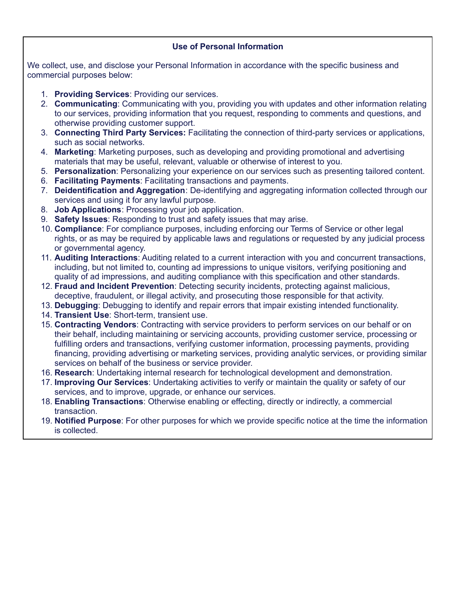## **Use of Personal Information**

We collect, use, and disclose your Personal Information in accordance with the specific business and commercial purposes below:

- 1. **Providing Services**: Providing our services.
- 2. **Communicating**: Communicating with you, providing you with updates and other information relating to our services, providing information that you request, responding to comments and questions, and otherwise providing customer support.
- 3. **Connecting Third Party Services:** Facilitating the connection of third-party services or applications, such as social networks.
- 4. **Marketing**: Marketing purposes, such as developing and providing promotional and advertising materials that may be useful, relevant, valuable or otherwise of interest to you.
- 5. **Personalization**: Personalizing your experience on our services such as presenting tailored content.
- 6. **Facilitating Payments**: Facilitating transactions and payments.
- 7. **Deidentification and Aggregation**: De-identifying and aggregating information collected through our services and using it for any lawful purpose.
- 8. **Job Applications**: Processing your job application.
- 9. **Safety Issues**: Responding to trust and safety issues that may arise.
- 10. **Compliance**: For compliance purposes, including enforcing our Terms of Service or other legal rights, or as may be required by applicable laws and regulations or requested by any judicial process or governmental agency.
- 11. **Auditing Interactions**: Auditing related to a current interaction with you and concurrent transactions, including, but not limited to, counting ad impressions to unique visitors, verifying positioning and quality of ad impressions, and auditing compliance with this specification and other standards.
- 12. **Fraud and Incident Prevention**: Detecting security incidents, protecting against malicious, deceptive, fraudulent, or illegal activity, and prosecuting those responsible for that activity.
- 13. **Debugging**: Debugging to identify and repair errors that impair existing intended functionality.
- 14. **Transient Use**: Short-term, transient use.
- 15. **Contracting Vendors**: Contracting with service providers to perform services on our behalf or on their behalf, including maintaining or servicing accounts, providing customer service, processing or fulfilling orders and transactions, verifying customer information, processing payments, providing financing, providing advertising or marketing services, providing analytic services, or providing similar services on behalf of the business or service provider.
- 16. **Research**: Undertaking internal research for technological development and demonstration.
- 17. **Improving Our Services**: Undertaking activities to verify or maintain the quality or safety of our services, and to improve, upgrade, or enhance our services.
- 18. **Enabling Transactions**: Otherwise enabling or effecting, directly or indirectly, a commercial transaction.
- 19. **Notified Purpose**: For other purposes for which we provide specific notice at the time the information is collected.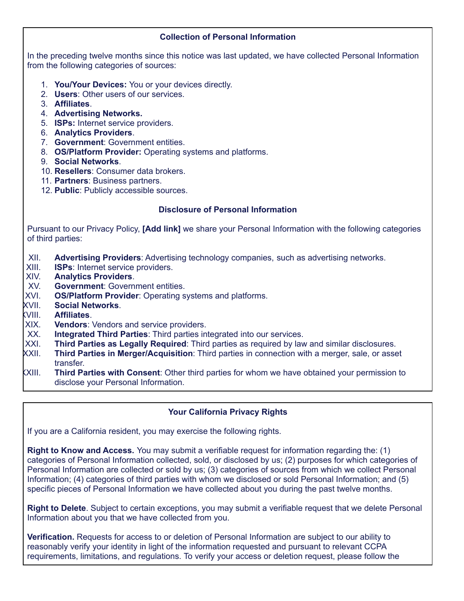#### **Collection of Personal Information**

In the preceding twelve months since this notice was last updated, we have collected Personal Information from the following categories of sources:

- 1. **You/Your Devices:** You or your devices directly.
- 2. **Users**: Other users of our services.
- 3. **Affiliates**.
- 4. **Advertising Networks.**
- 5. **ISPs:** Internet service providers.
- 6. **Analytics Providers**.
- 7. **Government**: Government entities.
- 8. **OS/Platform Provider:** Operating systems and platforms.
- 9. **Social Networks**.
- 10. **Resellers**: Consumer data brokers.
- 11. **Partners**: Business partners.
- 12. **Public**: Publicly accessible sources.

### **Disclosure of Personal Information**

Pursuant to our Privacy Policy, **[Add link]** we share your Personal Information with the following categories of third parties:

- XII. **Advertising Providers**: Advertising technology companies, such as advertising networks.
- XIII. **ISPs**: Internet service providers.
- XIV. **Analytics Providers**.
- XV. **Government**: Government entities.
- XVI. **OS/Platform Provider**: Operating systems and platforms.
- XVII. **Social Networks**.
- XVIII. **Affiliates**.
- XIX. **Vendors**: Vendors and service providers.
- XX. **Integrated Third Parties**: Third parties integrated into our services.
- XXI. **Third Parties as Legally Required**: Third parties as required by law and similar disclosures.
- XXII. **Third Parties in Merger/Acquisition**: Third parties in connection with a merger, sale, or asset transfer.
- XXIII. **Third Parties with Consent**: Other third parties for whom we have obtained your permission to disclose your Personal Information.

## **Your California Privacy Rights**

If you are a California resident, you may exercise the following rights.

**Right to Know and Access.** You may submit a verifiable request for information regarding the: (1) categories of Personal Information collected, sold, or disclosed by us; (2) purposes for which categories of Personal Information are collected or sold by us; (3) categories of sources from which we collect Personal Information; (4) categories of third parties with whom we disclosed or sold Personal Information; and (5) specific pieces of Personal Information we have collected about you during the past twelve months.

**Right to Delete**. Subject to certain exceptions, you may submit a verifiable request that we delete Personal Information about you that we have collected from you.

**Verification.** Requests for access to or deletion of Personal Information are subject to our ability to reasonably verify your identity in light of the information requested and pursuant to relevant CCPA requirements, limitations, and regulations. To verify your access or deletion request, please follow the